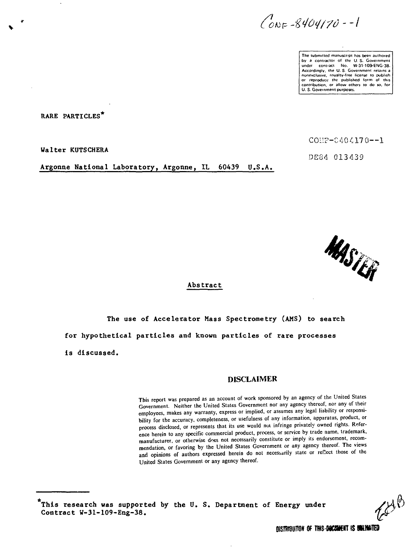$Cov_F - 8404170 - -1$ 

The submitted manuscript has been authored .<br>by a contractor of the U.S. Government<br>under contract - No. - W-31-109-ENG-38. Accordingly, the U. S Government retains a nonexclusive, royalty-free license 10 publish or reproduce the published form of this contribution, or allow others to do so, for U. S. Government purposes.

**RARE PARTICLES**

Walter KUTSCHERA

**Argonne National Laboratory, Argonne, IL 60439 U.S.A.**

COi:F-C404170—1

DE34 013439



#### **Abstract**

**The use of Accelerator Mass Spectrometry (AMS) to search for hypothetical particles and known particles of rare processes Is discussed.**

#### DISCLAIMER

This report was prepared as an account of work sponsored by an agency of the United States Government. Neither the United States Government nor any agency thereof, nor any of their employees, makes any warranty, express or implied, or assumes any legal liability or responsibility for the accuracy, completeness, or usefulness of any information, apparatus, product, or process disclosed, or represents that its use would not infringe privately owned rights. Reference herein to any specific commercial product, process, or service by trade name, trademark, manufacturer, or otherwise does not necessarily constitute or imply its endorsement, recommendation, or favoring by the United States Government or any agency thereof. The views and opinions of authors expressed herein do not necessarily state or reflect those of the United States Government or any agency thereof.

**This research was supported by the U. S. Department of Energy under Contract W-31-109-Eng-38.**

EHB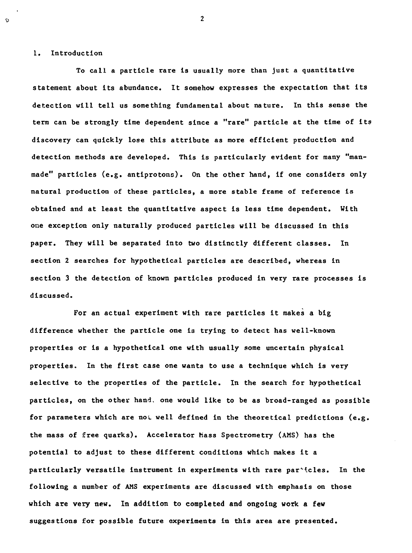#### **1. Introduction**

Ø

**To call a particle rare Is usually more than just a quantitative statement about its abundance. It somehow expresses the expectation that its detection will tell us something fundamental about nature. In this sense the term can be strongly time dependent since a "rare" particle at the time of its discovery can quickly lose this attribute as more efficient production and detection methods are developed. This is particularly evident for many "manmade" particles (e.g. antiprotons). On the other hand, if one considers only natural production of these particles, a more stable frame of reference is obtained and at least the quantitative aspect is less time dependent. With one exception only naturally produced particles will be discussed in this paper. They will be separated Into two distinctly different classes. In section 2 searches for hypothetical particles are described, whereas in section 3 the detection of known particles produced in very rare processes is discussed.**

**For an actual experiment with rare particles it makes a big difference whether the particle one is trying to detect has well-known properties or is a hypothetical one with usually some uncertain physical properties. In the first case one wants to use a technique which is very selective to the properties of the particle. In the search for hypothetical particles, on the other hand, one would like to be as broad-ranged as possible for parameters which are noi well defined in the theoretical predictions (e.g. the mass of free quarks). Accelerator Mass Spectrometry (AMS) has the potential to adjust to these different conditions which makes it a** particularly versatile instrument in experiments with rare par<sup>kt</sup>cles. In the **following a number of AMS experiments are discussed with emphasis on those which are very new. In addition to completed and ongoing work a few suggestions ifor possible future experiments in this area are presented.**

 $\overline{2}$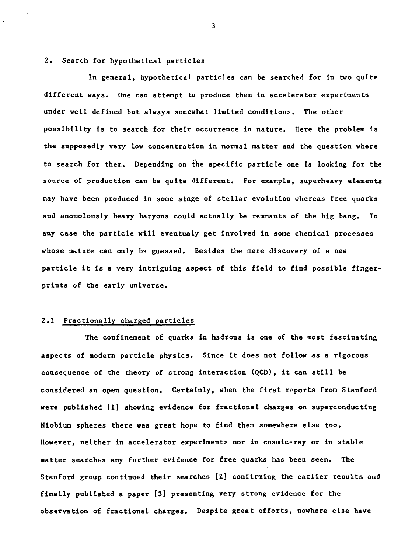#### 2. Search for hypothetical particles

In general, hypothetical particles can be searched for in two quite different ways. One can attempt to produce them in accelerator experiments under well defined but always somewhat limited conditions. The other possibility is to search for their occurrence in nature. Here the problem is the supposedly very low concentration in normal matter and the question where to search for them. Depending on the specific particle one is looking for the source of production can be quite different. For example, superheavy elements may have been produced in some stage of stellar evolution whereas free quarks and anomolously heavy baryons could actually be remnants of the big bang. In any case the particle will eventualy get involved in some chemical processes whose nature can only be guessed. Besides the mere discovery of a new particle it is a very intriguing aspect of this field to find possible fingerprints of the early universe.

# 2.1 Fractionally charged particles

The confinement of quarks in hadrons is one of the most fascinating aspects of modern particle physics. Since it does not follow as a rigorous consequence of the theory of strong interaction (QCD), it can still be considered an open question. Certainly, when the first reports from Stanford were published [1] showing evidence for fractional charges on superconducting Niobium spheres there was great hope to find them somewhere else too. However, neither in accelerator experiments nor in cosmic-ray or in stable matter searches any further evidence for free quarks has been seen. The Stanford group continued their searches [2] confirming the earlier results and **finally published** a paper [3] presenting very strong evidence for the observation of fractional charges. Despite great efforts, nowhere else have

 $\overline{\mathbf{3}}$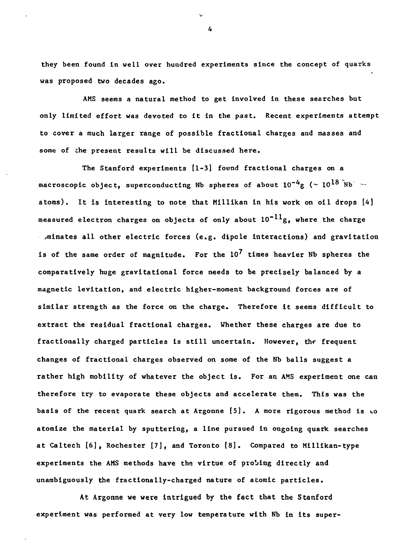**they been found In well over hundred experiments since the concept of quarks was proposed two decades ago.**

**AMS seems a natural method to get involved in these searches but only limited effort was devoted to it in the past. Recent experiments attempt to cover a much larger range of possible fractional charges and masses and some of the present results will be discussed here.**

**The Stanford experiments [1-3] found fractional charges on a** macroscopic object, superconducting Nb spheres of about  $10^{-4}$ g ( $\sim 10^{18}$  Nb<sup> $\sim$ </sup> **atoms). It is interesting to note that Millikan in his work on oil drops [4] measured electron charges on objects of only about 10" g, where the charge >minates all other electric forces (e.g. dipcle interactions) and gravitation is of the same order of magnitude. For the 10' times heavier Nb spheres the comparatively huge gravitational force needs to be precisely balanced by a magnetic levitation, and electric higher-moment background forces are of similar strength as the force on the charge. Therefore It seems difficult to extract the residual fractional charges. Whether these charges are due to fractionally charged particles Is still uncertain. However, thr frequent changes of fractional charges observed on some of the Nb balls suggest a rather high mobility of whatever the object is. For an AMS experiment one can therefore try to evaporate these objects and accelerate them. This was the basis of the recent quark search at Argonne [5]. A more rigorous method is to atomize the material by sputtering, a line pursued in ongoing quark searches at Caltech [6], Rochester [7], and Toronto [8]. Compared to Milllkan-type experiments the AMS methods have the virtue of probing directly and unambiguously the fractionally-charged nature of atomic particles.**

**At Argonne we were intrigued by the fact that the Stanford experiment was performed at very low temperature with Nb in Its super-**

 $\overline{a}$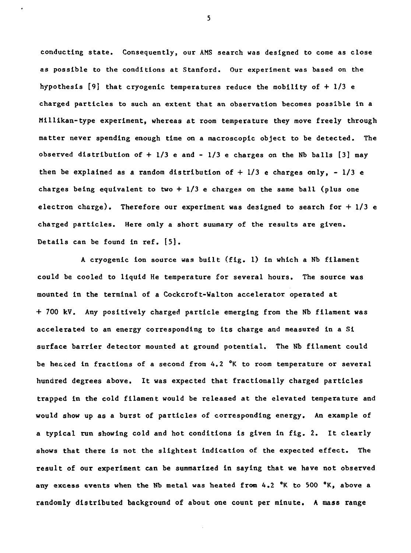**conducting state. Consequently, our AMS search was designed to come as close as possible to the conditions at Stanford. Our experiment was based on the hypothesis [9] that cryogenic temperatures reduce the mobility of + 1/3 e charged particles to such an extent that an observation becomes possible in a Millikan-type experiment, whereas at room temperature they move freely through matter never spending enough time on a macroscopic object to be detected. The observed distribution of + 1/3 e and - 1/3 e charges on the Nb balls [3] may then be explained as a random distribution of + 1/3 e charges only, - 1/3 e charges being equivalent to two + 1/3 e charges on the same ball (plus one electron charge). Therefore our experiment was designed to search for + 1/3 e charged particles. Here only a short summary of the results are given. Details can be found in ref. [5].**

**A cryogenic ion source was built (fig. 1) in which a Nb filament could be cooled to liquid He temperature for several hours. The source was mounted in the terminal of a Cockcroft-Walton accelerator operated at + 700 kV. Any positively charged particle emerging from the Nb filament was accelerated to an energy corresponding to its charge and measured in a Si surface barrier detector mounted at ground potential. The Nb filament could be heaced in fractions of a second from 4.2 °K to room temperature or several hundred degrees above. It was expected that fractionally charged particles trapped in the cold filament would be released at the elevated temperature and would show up as a burst of particles of corresponding energy. An example of a typical run showing cold and hot conditions is given in fig. 2. It clearly shows that there is not the slightest indication of the expected effect. The result of our experiment can be summarized in saying that we have not observed any excess events when the Nb metal was heated from 4.2 °K to 500 <sup>Q</sup>K, above a randomly distributed background of about one count per minute. A mass range**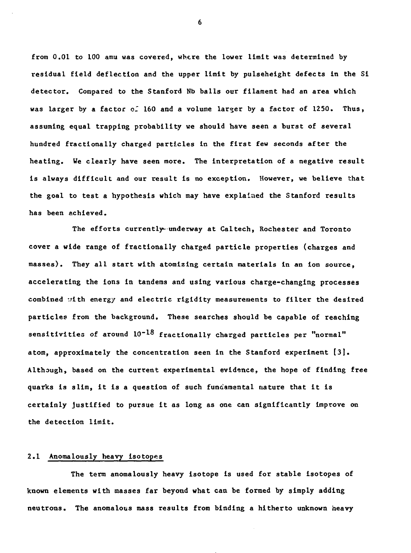**from 0.01 to 100 amu was covered, where the lower limit was determined by residual field deflection and the upper limit by pulseheight defects in the Si detector. Compared to the Stanford Nb balls our filament had an area which** was larger by a factor of 160 and a volume larger by a factor of 1250. Thus, **assuming equal trapping probability we should have seen a burst of several hundred fractionally charged particles in the first few seconds after the heating. We clearly have seen more. The interpretation of a negative result is always difficult and our result is no exception. However, we believe that the goal to test a hypothesis which may have explained the Stanford results has been achieved.**

**The efforts currently-underway at Caltech, Rochester and Toronto cover a wide range of fractionally charged particle properties (charges and masses). They all start with atomizing certain materials in an ion source, accelerating the ions in tandems and using various charge-changing processes combined '.rith energy and electric rigidity measurements to filter the desired particles from the background. These searches should be capable of reaching sensitivities of around 10"<sup>1</sup> <sup>8</sup> fractionally charged particles per "normal" atom, approximately the concentration seen in the Stanford experiment [3]. Although, based on the current experimental evidence, the hope of finding free quarks is slim, it is a question of such fundamental nature that it is certainly justified to pursue it as long as one can significantly improve on the detection limit.**

#### **2.1 Anomalously heavy Isotopes**

**The term anomalously heavy isotope is used for stable isotopes of known elements with masses far beyond what can be formed by simply adding neutrons. The anomalous mass results from binding a hitherto unknown heavy**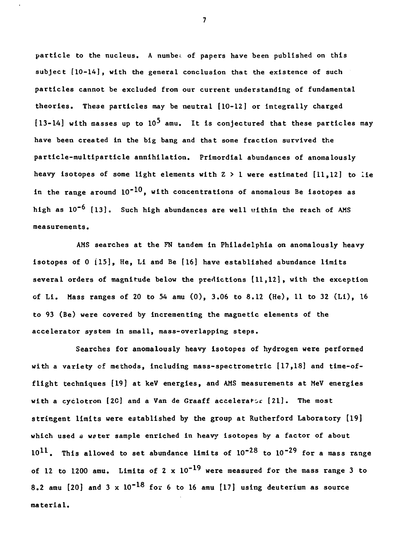**particle to the nucleus. A numbe; of papers have been published on this subject [10-14], with the general conclusion that the existence of such particles cannot be excluded from our current understanding of fundamental theories. These particles may be neutral [10-12] or integrally charged [13-14] with masses up to 10<sup>5</sup> amu. It is conjectured that these particles may have been created in the big bang and that some fraction survived the particle-multiparticle annihilation. Primordial abundances of anomalously heavy isotopes of some light elements with Z > 1 were estimated [11,12] to lie** in the range around  $10^{-10}$ , with concentrations of anomalous Be isotopes as **high as 10"<sup>6</sup> [13]. Such high abundances are well within the reach of AMS measurements.**

**AMS searches at the FN tandem in Philadelphia on anomalously heavy isotopes of 0 115], He, Li and Be [16] have established abundance limits several orders of magnitude below the predictions [11,12], with the exception of Li. Mass ranges of 20 to 54 amu (0), 3.06 to 8.12 (He), 11 to 32 (Li), 16 to 93 (Be) were covered by incrementing the magnetic elements of the accelerator system in small, mass-overlapping steps.**

**Searches for anomalously heavy isotopes of hydrogen were performed** with a variety of methods, including mass-spectrometric [17,18] and time-of**flight techniques [19] at keV energies, and AMS measurements at MeV energies** with a cyclotron [2C] and a Van de Graaff accelerator [21]. The most **stringent limits were established by the group at Rutherford Laboratory [19] which used a wfter sample enriched in heavy isotopes by a factor of about 101 1 . This allowed to set abundance limits of 10"<sup>28</sup> to 10"<sup>29</sup> for a mass range** of 12 to 1200 amu. Limits of 2  $\times$   $10^{-19}$  were measured for the mass range 3 to **8.2 amu [20] and 3 x 10"<sup>18</sup> for 6 to 16 amu [17] using deuterium as source material.**

 $\overline{7}$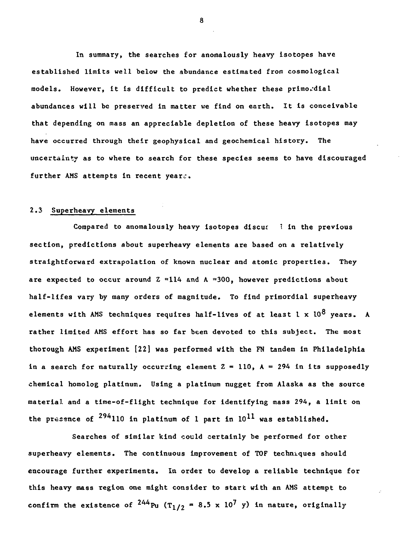**In summary, the searches for anomalously heavy isotopes have established limits well below the abundance estimated from cosmological models. However, it is difficult to predict whether these primordial abundances will be preserved in matter we find on earth. It is conceivable that depending on mass an appreciable depletion of these heavy isotopes may have occurred through their geophysical and geochemical history. The uncertainty as to where to search for these species seems to have discouraged further AMS attempts in recent yearc.**

# **2.3 Superheavy elements**

**Compared to anomalously heavy isotopes discuf 1 in the previous section, predictions about superheavy elements are based on a relatively straightforward extrapolation of known nuclear and atomic properties. They** are expected to occur around Z **"114 and A "300, however predictions about half-lifes vary by many orders of magnitude. To find primordial superheavy** elements with AMS techniques requires half-lives of at least 1 x 10<sup>8</sup> years. A **rather limited AMS effort has so far been devoted to this subject. The most thorough AMS experiment [22] was performed with the FN tandem in Philadelphia** in a search for naturally occurring element  $Z = 110$ ,  $A = 294$  in its supposedly **chemical homolog platinum. Using a platinum nugget from Alaska as the source material and a time-of-flight technique for identifying mass 294, a limit on** the presence of  $^{294}$ 110 in platinum of 1 part in  $10^{11}$  was established.

**Searches of similar kind could certainly be performed for other superheavy elements. The continuous improvement of TOF techniques should encourage further experiments. In order to develop a reliable technique for this heavy mass region one might considex to start with an AMS attempt to** confirm the existence of  $^{244}$ Pu (T<sub>1/2</sub> = 8.5 x 10<sup>7</sup> y) in nature, originally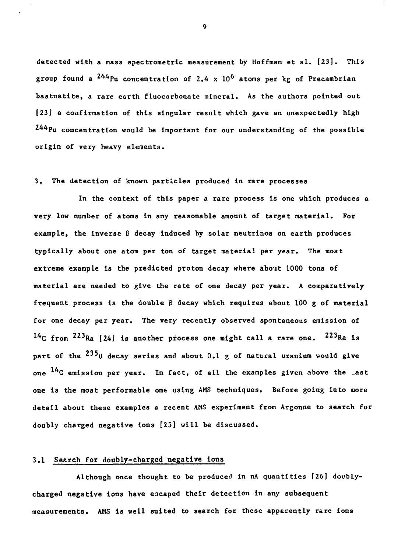detected with a mass spectrometric measurement by Hoffman et al. [23]. This **group found a<sup>2</sup>^\*Pu concentration of 2.4 x 10<sup>6</sup> atoms per kg of Precambrian bastnatlte, a rare earth fluocarbonate mineral. As the authors pointed out [23] a confirmation of this singular result which gave an unexpectedly high 244pu concentration would be important for our understanding of the possible origin of very heavy elements.**

### **3. The detection of known particles produced in rare processes**

**In the context of this paper a rare process is one which produces a very low number of atoms in any reasonable amount of target material. For example, the inverse 3 decay induced by solar neutrinos on earth produces typically about one atom per ton of target material per year. The most extreme example is the predicted proton decay where abojt 1000 tons of material are needed to give the rate of one decay per year. A comparatively** frequent process is the double  $\beta$  decay which requires about 100 g of material **for one decay per year. The very recently observed spontaneous emission of**  $^{14}$ C from  $^{223}$ Ra [24] is another process one might call a rare one.  $^{223}$ Ra is part of the <sup>235</sup> *i* decay series and about 0.1 g of natural uranium would give **one C emission per year. In fact, of all the examples given above the \_ast one is the most performable one using AMS techniques. Before going into more detail about these examples a recent AMS experiment from Argonne to search for doubly charged negative ions [25] will be discussed.**

# **3.1 Search for doubly-charged negative Ions**

**Although once thought to be produced in nA quantities [26] docblycharged negative ions have escaped their detection in any subsequent measurements. AMS is well suited to search for these apparently rare ions**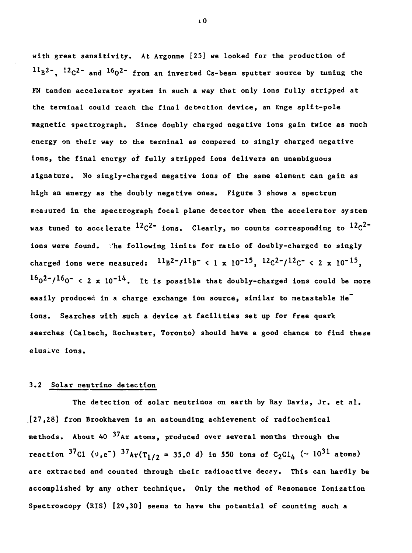**with great sensitivity. At Argonne [25] we looked for the production of B <sup>2</sup>~, <sup>12</sup> C <sup>2</sup> " and <sup>16</sup> O <sup>2</sup> ~ from an inverted Cs-beam sputter source by tuning the FN tandem accelerator system In such a way that only Ions fully stripped at the terminal could reach the final detection device, an Enge split-pole magnetic spectrograph. Since doubly charged negative ions gain twice as much energy on their way to the terminal as compared to singly charged negative ions, the final energy of fully stripped ions delivers an unambiguous signature. No singly-charged negative ions of the same element can gain as high an energy as the doubly negative ones. Figure 3 shows a spectrum maajured in the spectrograph focal plane detector when the accelerator system was tuned to accelerate 1<sup>2</sup>C <sup>2</sup>" ions. Clearly, no counts corresponding to \*<sup>2</sup>C ions were found. 'he following limits for ratio of doubly-charged to singly** charged ions were measured:  ${}^{11}B^{2-}/{}^{11}B^{-}$  < 1 x 10<sup>-15</sup>,  ${}^{12}C^{2-}/{}^{12}C^{-}$  < 2 x 10<sup>-15</sup>.  $16<sub>0</sub>2<sup>-</sup>/16<sub>0</sub>$ <sup> $-$ </sup> < 2 x 10<sup>-14</sup>. It is possible that doubly-charged ions could be more **easily produced in a charge exchange ion source, similar to metastable He ions. Searches with such a device at facilities set up for free quark searches (Caltech, Rochester, Toronto) should have a good chance to find these elusive ions.**

# **3.2 Solar neutrino detection**

**The detection of solar neutrinos on earth by Kay Davis, Jr. et al. [27,28] from Brookhaven is an astounding achievement of radiochemical methods. About 40 <sup>37</sup> Ar atoms, produced over several months through the** reaction <sup>37</sup>Cl (v,e<sup>-</sup>) <sup>37</sup>Ar(T<sub>1/2</sub> = 35.0 d) in 550 tons of C<sub>2</sub>Cl<sub>4</sub> (~ 10<sup>31</sup> at **are extracted and counted through their radioactive decey. This can hardly be accomplished by any other technique. Only the method of Resonance Ionization Spectroscopy (RIS) [29,30] seems to have the potential of counting such a**

iO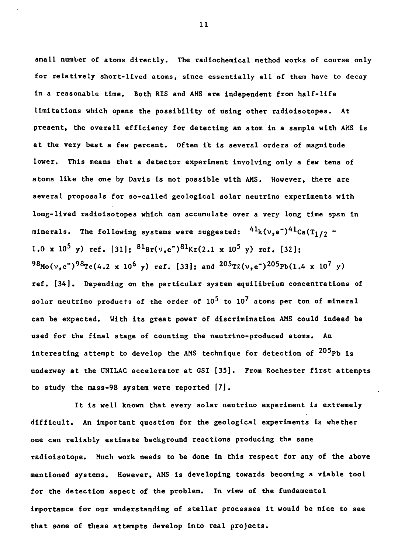**small number of atoms directly. The radiochemical method works of course only for relatively short-lived atoms, since essentially all of them have to decay In a reasonable time. Both RIS and AMS are independent from half-life limitations which opens the possibility of using other radiolsotopes. At present, the overall efficiency for detecting an atom in a sample with AMS is at the very best a few percent. Often it is several orders of magnitude lower. This means that a detector experiment involving only a few tens of atoms like the one by Davis is not possible with AMS. However, there are several proposals for so-called geological solar neutrino experiments with long-lived radioisotopes which can accumulate over a very long time span in** <code>minerals. The following systems were suggested:  $^{41}$ k(v,e $^{-})^{41}$ Ca(T<sub>1/2</sub> =</code> **1.0 x 10<sup>5</sup> y) ref. [31]; <sup>81</sup>Br(v,e")<sup>81</sup>Kr(2.1 x 10<sup>5</sup> y) ref. [32]; <sup>98</sup>Mo(v,e~)<sup>98</sup>Te(4.2 x 10<sup>6</sup> y) ref. [33]; and <sup>205</sup>TJl(v,e")<sup>205</sup>Pb(lA x 10<sup>7</sup> y) ref. [34]. Depending on the particular system equilibrium concentrations of** solar neutrino products of the order of  $10^5$  to  $10^7$  atoms per ton of mineral **can be expected. With its great power of discrimination AMS could indeed be used for the final stage of counting the neutrino-produced atoms. An** interesting attempt to develop the AMS technique for detection of  $^{205}$ Pb is **underway at the UNILAC accelerator at GSI [35]. From Rochester first attempts to study the mass-98 system were reported [7],**

**It is well known that every solar neutrino experiment is extremely difficult. An important question for the geological experiments is whether one can reliably estimate background reactions producing the same r&dioisotope. Much work needs to be done in this respect for any of the above mentioned systems. However, AMS is developing towards becoming a viable tool for the detection aspect of the problem. In view of the fundamental importance for our understanding of stellar processes it would be nice to see that some of these attempts develop into real projects.**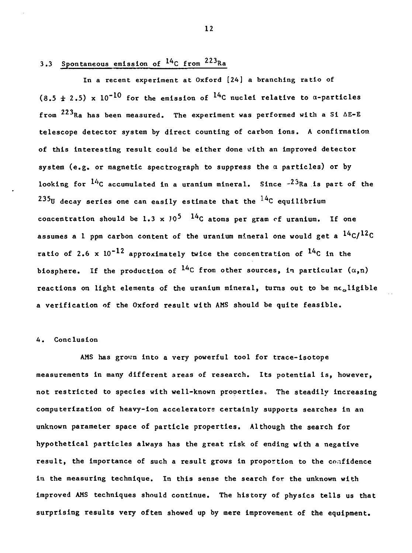# **3.3 Spontaneous emission of ^C from <sup>223</sup>Ra**

**In a recent experiment at Oxford [24] a branching ratio of**  $(8.5 \pm 2.5) \times 10^{-10}$  for the emission of  $^{14}$ C nuclei relative to  $\alpha$ -particles from  $^{223}$ Ra has been measured. The experiment was performed with a Si  $\Delta E - E$ telescope detector system by direct counting of carbon ions. A confirmation of this interesting result could be either done with an improved detector looking for  $14c$  accumulated in a uranium mineral. Since  $-23Ra$  is part of the <sup>235</sup>U decay series one can easily estimate that the <sup>14</sup>C equilibrium **235 235 Concentration should be 1.3**  $\times$  10<sup>5</sup>  $^{14}$ C atoms per gram of uranium. If one assumes a 1 ppm carbon content of the uranium mineral one would get a  $14C/12C$ ratio of 2.6 x  $10^{-12}$  approximately twice the concentration of <sup>14</sup>C in the biosphere. If the production of <sup>14</sup>C from other sources, in particular  $(\alpha, n)$ **biosphere. If the production of \*\*C from other sources, in particular (a,n) reactions on light elements of the uranium mineral, turns out to be negligible** a verification of the Oxford result with AMS should be quite feasible.

**a verification of the Oxford result with AMS should be quite feasible.**

# **4. Conclusion**

**AMS has grown into a very powerful tool for trace-isotope measurements in many different areas of research. Its potential is, however, not restricted to species with well-known properties. The steadily increasing computerization of heavy-ion accelerators certainly supports searches In an unknown parameter space of particle properties. Although the search for hypothetical particles always has the great risk of ending with a negative result, the importance of such a result grows in proportion to the confidence in the measuring technique. In this sense the search for the unknown with improved AMS techniques should continue. The history of physics tells us that surprising results very often showed up by mere improvement of the equipment.**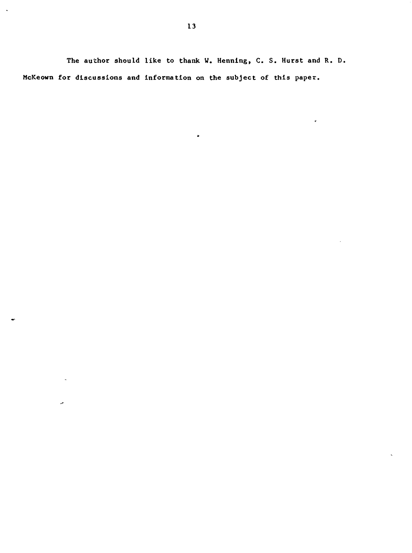**The author should like to thank W. Hennlng, C. S. Hurst and R. D. McKeown for discussions and information on the subject of this paper.**

 $\bullet$ 

 $\ddot{\phantom{a}}$ 

 $\ddot{\phantom{a}}$ 

 $\hat{\mathcal{A}}$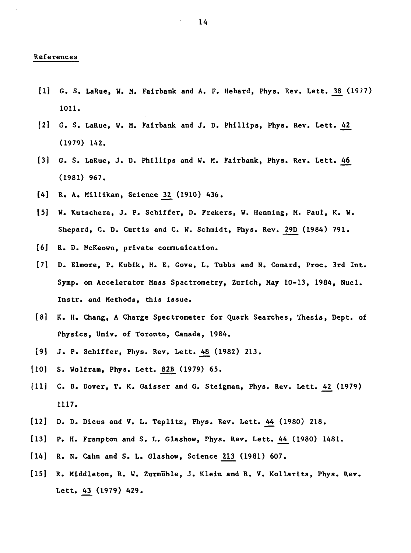### **References**

- **[1] G. S. LaRue, W. M. Fairbank and A. F. Hebard, Phys. Rev. Lett. J8\_ (1977) 1011.**
- **12] G. S. LaRue, W. M. Fairbatik and J. D. Phillips, Phys. Rev. Lett. kl\_ (1979) 142.**
- **[3] G. S. LaRue, J. D. Phillips and W. M. Fairbank, Phys. Rev. Lett. J6J6\_ (1981) 967.**
- **[A] R. A. Mlllikan, Science Zl\_ (1910) A36.**
- **[5] W. Kutschera, J. P. Schlffer, D. Frekers, W. Henning, M. Paul, K. W. Shepard, C. D. Curtis and C. W. Schmidt, Phys. Rev. 29D (1984) 791.**
- **[6] R. D. McKeown, private communication.**
- **[7] D. Elraore, P. Kubik, H. E. Gove, L. Tubbs and N. Conard, Proc. 3rd Int. Symp. on Accelerator Mass Spectrometry, Zurich, May 10-13, 1984, Nucl. Instr. and Methods, this issue.**
- **[8] K. H. Chang, A Charge Spectrometer for Quark Searches, Thesis, Dept. of Physics, Univ. of Toronto, Canada, 1984.**
- **[9] J. P. Schiffer, Phys. Rev. Lett. j&8\_ (1982) 213.**
- **[10] S. Wolfram, Phys. Lett. 82B (1979) 65.**
- [11] C. B. Dover, T. K. Gaisser and G. Steigman, Phys. Rev. Lett. 42 (1979) **1117.**
- **[12] D. D. Dicus and V. L. Teplitz, Phys. Rev. Lett. ^4 (1980) 218.**
- **[13] P. H. Frampton and S. L. Glashow, Phys. Rev. Lett. kh\_ (1980) 1A81.**
- **[14] R. N. Calm and S. L. Glashow, Science 213 (1981) 607.**
- **[15] R. Middleton, R. W. Zurmlihle, J. Klein and R. V. Kollarits, Phys. Rev. Lett. 43 (1979) A29.**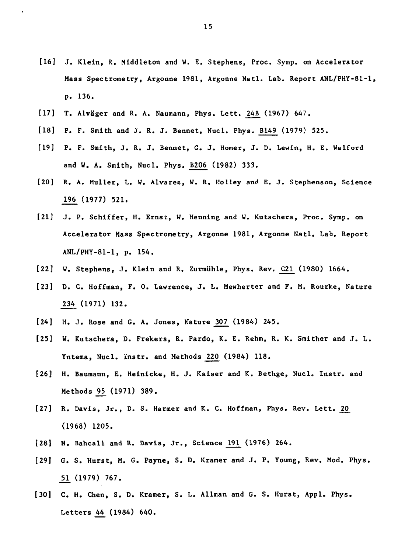- **[16] J. Klein, R. Middleton and W. E. Stephens, Proc. Symp. on Accelerator Mass Spectrometry, Argonne 1981, Argonne Natl. Lab. Report ANL/PHY-81-1, p. 136.**
- **[17] T. Alvager and R. A. Naumann, Phys. Lett. 24B (1967) 647.**
- **[18] P. F. Smith and J. R. J. Bennet, Nucl. Phys. B149 (1979) 525.**
- **[19] P. F. Smith, J. R. J. Bennet, G. J. Homer, J. D. Lewin, H. E. Walford and W. A. Smith, Nucl. Phys. B206 (1982) 333.**
- **[20] R. A. Muller, L. W. Alvarez, W. R. Kolley and E. J. Stephenson, Science 196 (1977) 521.**
- **[21] J. P. Schiffer, H. Ernst, W. Hennlng and U. Kutschera, Proc. Symp. on Accelerator Mass Spectrometry, Argonne 1981, Argonne Natl. Lab. Report ANL/PHY-81-1, p. 154.**
- **[22] W. Stephens, J. Klein and R. Zurmlihle, Phys. Rev, C21 (1980) 1664.**
- **[23] D. C. Hoffman, F. 0. Lawrence, J. L. Mewherter and F. M. Rourke, Nature 234 (1971) 132.**
- **[24] H. J. Rose and G. A. Jones, Nature 307 (1984) 245.**
- **[25] W. Kutschera, D. Frekers, R. Pardo, K. E. Rehm, R. K. Smither and J. L. Yntema, Nucl. instr. and Methods 220 (1984) 118.**
- **[26] H. Baumann, E. Heinlcke, H. J. Kaiser and K. Bethge, Nucl. Instr. and Methods \_95\_ (1971) 389.**
- **[27] R. Davis, Jr., D. S. Harraer and K. C. Hoffman, Phys. Rev. Lett. 20 (1968) 1205.**
- **[28] N. Bahcall and R. Davis, Jr., Science 191 (1976) 264.**
- **[29] G. S. Hurst, M. G. Payne, S. D. Kramer and J. P. Young, Rev. Mod. Phys. \_51. (1979) 767.**
- **[30] C. H. Chen, S. D. Kramer, S. L. Allman and G. S. Hurst, Appl. Phys. Letters 44 (1984) 640.**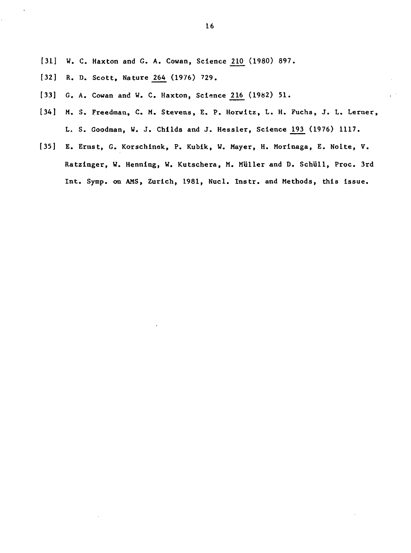- **[31] W. C. Haxton and G. A. Cowan, Science 210 (1980) 897.**
- **[32] R. D. Scott, Nature 264 (1976) 729.**
- **[33] G. A. Cowan and W. C. Haxton, Sctance 216 (1982) 51.**
- **[34] M. S. Freedman, C. M. Stevens, E. P. Horwltz, L. H. Fuchs, J. L. Lerner, L. S. Goodman, W. J. Chi Ids and J. Hessler, Science 193 (1976) 1117.**
- **[35] E. Ernst, G. Korschinek, P. Kubik, W. Mayer, H. Morinaga, E. Nolte, V. Ratzinger, W. Henning, W. Kutschera, M. Muller and D. Schull, Proc. 3rd Int. Symp. on AMS, Zurich, 1981, Nucl. Instr. and Methods, this issue.**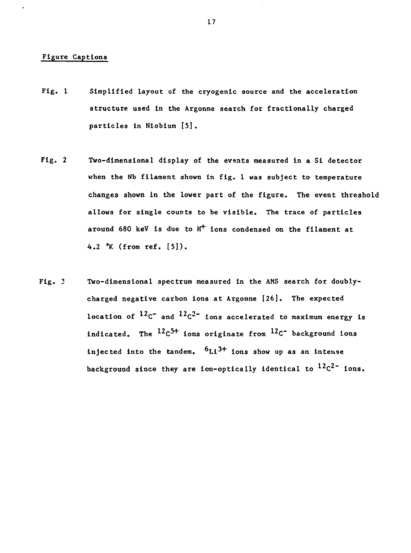#### **Figure Captions**

- **Fig. 1 Simplified layout of the cryogenic source and the acceleration structure used In the Argonne search for fractionally charged particles In Niobium [5].**
- **Fig. 2 Two-dimensional display of the events measured in a Si detector when the Nb filament shown in fig. 1 was subject to temperature changes shown in the lower part of the figure. The event threshold allows for single counts to be visible. The trace of particles around 680 keV is due to H"<sup>1</sup>" ions condensed on the filament at 4.2 °K (from ref. [5]).**
- **Fig. 3 Two-dimensional spectrum measured in the AMS search for doublycharged negative carbon ions at Argonne [26]. The expected** location of  $12c^2$  and  $12c^2$ <sup>2</sup> ions accelerated to maximum energy is **indicated. The <sup>12</sup> C <sup>5</sup> <sup>+</sup> ions originate from <sup>12</sup> C" background Ions injected into the tandem. ^Li^<sup>+</sup> ions show up as an intense** background since they are ion-optically identical to  $^{12}C^{2}$  ions.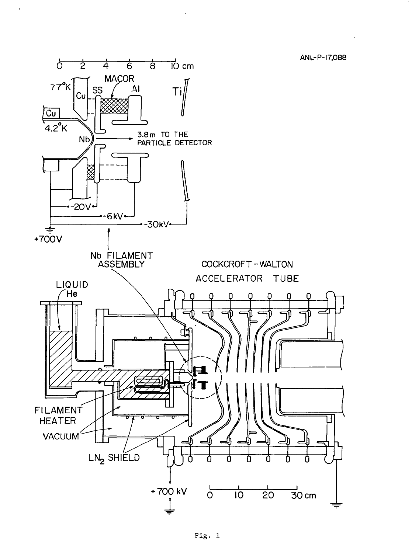၂<br>၂၇ cm  $\overline{6}$ **MAÇOR**  $77^\circ$ K  $AI$ SS Ti Cu  $\frac{[C_{U}]}{4.2^{\circ}K}$ 3.8 m TO THE<br>PARTICLE DETECTOR  $N<sub>b</sub>$  $-20V$ +-6kV<mark>+</mark> --30kV<mark></mark>  $+700V$ Nb FILAMENT<br>ASSEMBLY COCKCROFT-WALTON ACCELERATOR TUBE LIQUID<br>/ He n n 3 FILAMENT **HEATER VACUUM**  $LN<sub>2</sub>$  SHIELD

 $\sim$ 

 $\overline{8}$ 

ANL-P-17,088

 $\ddot{\phantom{1}}$ 

 $\sigma$ 

 $\overline{2}$ 

 $\overline{4}$ 

 $\overline{O}$ 

 $\overline{10}$ 

 $\overline{20}$ 

 $\overline{3}$ O cm

+700 kV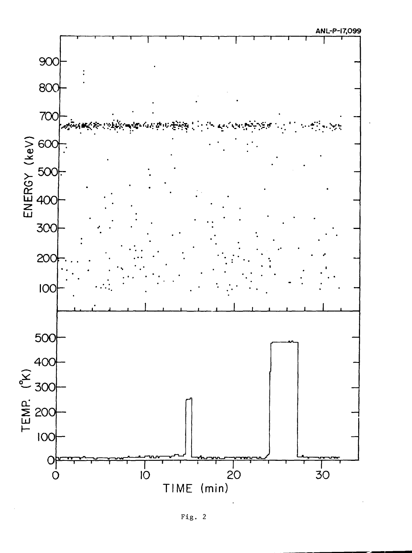